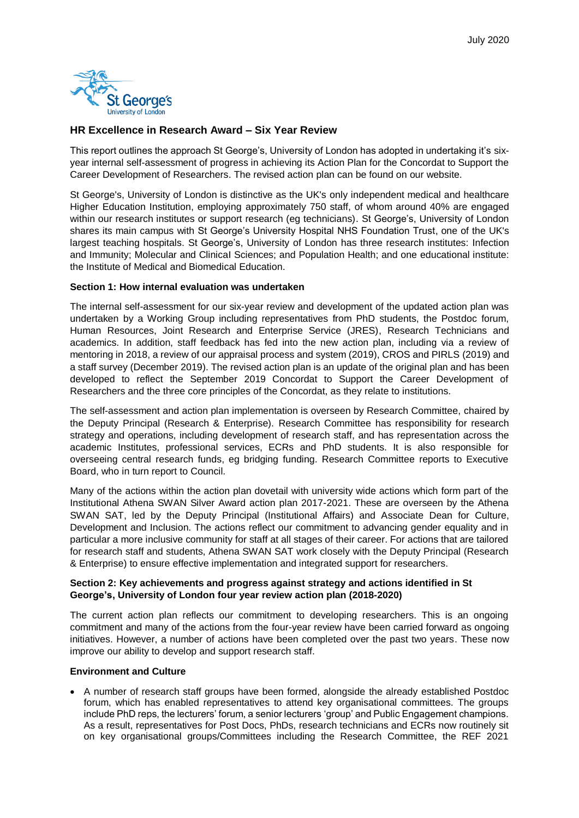

# **HR Excellence in Research Award – Six Year Review**

This report outlines the approach St George's, University of London has adopted in undertaking it's sixyear internal self-assessment of progress in achieving its Action Plan for the Concordat to Support the Career Development of Researchers. The revised action plan can be found on our website.

St George's, University of London is distinctive as the UK's only independent medical and healthcare Higher Education Institution, employing approximately 750 staff, of whom around 40% are engaged within our research institutes or support research (eg technicians). St George's, University of London shares its main campus with St George's University Hospital NHS Foundation Trust, one of the UK's largest teaching hospitals. St George's, University of London has three research institutes: Infection and Immunity; Molecular and Clinical Sciences; and Population Health; and one educational institute: the Institute of Medical and Biomedical Education.

### **Section 1: How internal evaluation was undertaken**

The internal self-assessment for our six-year review and development of the updated action plan was undertaken by a Working Group including representatives from PhD students, the Postdoc forum, Human Resources, Joint Research and Enterprise Service (JRES), Research Technicians and academics. In addition, staff feedback has fed into the new action plan, including via a review of mentoring in 2018, a review of our appraisal process and system (2019), CROS and PIRLS (2019) and a staff survey (December 2019). The revised action plan is an update of the original plan and has been developed to reflect the September 2019 Concordat to Support the Career Development of Researchers and the three core principles of the Concordat, as they relate to institutions.

The self-assessment and action plan implementation is overseen by Research Committee, chaired by the Deputy Principal (Research & Enterprise). Research Committee has responsibility for research strategy and operations, including development of research staff, and has representation across the academic Institutes, professional services, ECRs and PhD students. It is also responsible for overseeing central research funds, eg bridging funding. Research Committee reports to Executive Board, who in turn report to Council.

Many of the actions within the action plan dovetail with university wide actions which form part of the Institutional Athena SWAN Silver Award action plan 2017-2021. These are overseen by the Athena SWAN SAT, led by the Deputy Principal (Institutional Affairs) and Associate Dean for Culture, Development and Inclusion. The actions reflect our commitment to advancing gender equality and in particular a more inclusive community for staff at all stages of their career. For actions that are tailored for research staff and students, Athena SWAN SAT work closely with the Deputy Principal (Research & Enterprise) to ensure effective implementation and integrated support for researchers.

# **Section 2: Key achievements and progress against strategy and actions identified in St George's, University of London four year review action plan (2018-2020)**

The current action plan reflects our commitment to developing researchers. This is an ongoing commitment and many of the actions from the four-year review have been carried forward as ongoing initiatives. However, a number of actions have been completed over the past two years. These now improve our ability to develop and support research staff.

#### **Environment and Culture**

• A number of research staff groups have been formed, alongside the already established Postdoc forum, which has enabled representatives to attend key organisational committees. The groups include PhD reps, the lecturers' forum, a senior lecturers 'group' and Public Engagement champions. As a result, representatives for Post Docs, PhDs, research technicians and ECRs now routinely sit on key organisational groups/Committees including the Research Committee, the REF 2021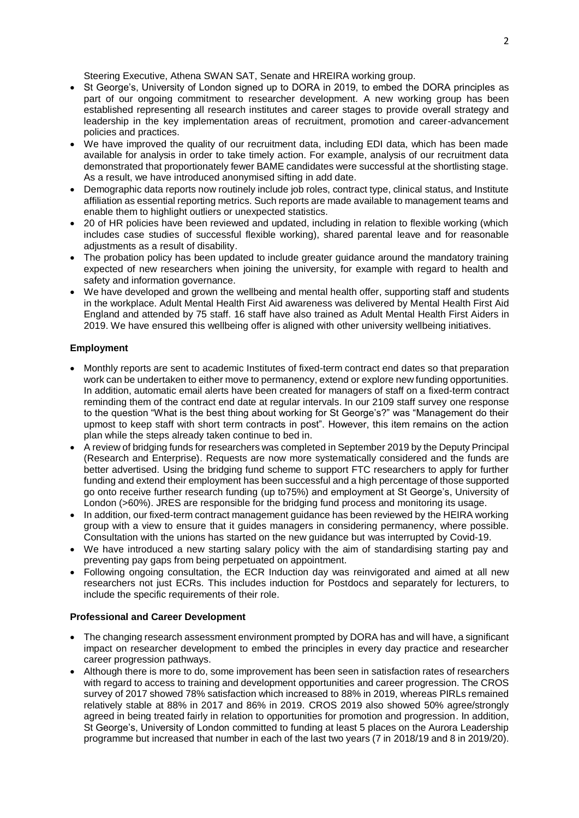Steering Executive, Athena SWAN SAT, Senate and HREIRA working group.

- St George's, University of London signed up to DORA in 2019, to embed the DORA principles as part of our ongoing commitment to researcher development. A new working group has been established representing all research institutes and career stages to provide overall strategy and leadership in the key implementation areas of recruitment, promotion and career-advancement policies and practices.
- We have improved the quality of our recruitment data, including EDI data, which has been made available for analysis in order to take timely action. For example, analysis of our recruitment data demonstrated that proportionately fewer BAME candidates were successful at the shortlisting stage. As a result, we have introduced anonymised sifting in add date.
- Demographic data reports now routinely include job roles, contract type, clinical status, and Institute affiliation as essential reporting metrics. Such reports are made available to management teams and enable them to highlight outliers or unexpected statistics.
- 20 of HR policies have been reviewed and updated, including in relation to flexible working (which includes case studies of successful flexible working), shared parental leave and for reasonable adjustments as a result of disability.
- The probation policy has been updated to include greater guidance around the mandatory training expected of new researchers when joining the university, for example with regard to health and safety and information governance.
- We have developed and grown the wellbeing and mental health offer, supporting staff and students in the workplace. Adult Mental Health First Aid awareness was delivered by Mental Health First Aid England and attended by 75 staff. 16 staff have also trained as Adult Mental Health First Aiders in 2019. We have ensured this wellbeing offer is aligned with other university wellbeing initiatives.

# **Employment**

- Monthly reports are sent to academic Institutes of fixed-term contract end dates so that preparation work can be undertaken to either move to permanency, extend or explore new funding opportunities. In addition, automatic email alerts have been created for managers of staff on a fixed-term contract reminding them of the contract end date at regular intervals. In our 2109 staff survey one response to the question "What is the best thing about working for St George's?" was "Management do their upmost to keep staff with short term contracts in post". However, this item remains on the action plan while the steps already taken continue to bed in.
- A review of bridging funds for researchers was completed in September 2019 by the Deputy Principal (Research and Enterprise). Requests are now more systematically considered and the funds are better advertised. Using the bridging fund scheme to support FTC researchers to apply for further funding and extend their employment has been successful and a high percentage of those supported go onto receive further research funding (up to75%) and employment at St George's, University of London (>60%). JRES are responsible for the bridging fund process and monitoring its usage.
- In addition, our fixed-term contract management guidance has been reviewed by the HEIRA working group with a view to ensure that it guides managers in considering permanency, where possible. Consultation with the unions has started on the new guidance but was interrupted by Covid-19.
- We have introduced a new starting salary policy with the aim of standardising starting pay and preventing pay gaps from being perpetuated on appointment.
- Following ongoing consultation, the ECR Induction day was reinvigorated and aimed at all new researchers not just ECRs. This includes induction for Postdocs and separately for lecturers, to include the specific requirements of their role.

# **Professional and Career Development**

- The changing research assessment environment prompted by DORA has and will have, a significant impact on researcher development to embed the principles in every day practice and researcher career progression pathways.
- Although there is more to do, some improvement has been seen in satisfaction rates of researchers with regard to access to training and development opportunities and career progression. The CROS survey of 2017 showed 78% satisfaction which increased to 88% in 2019, whereas PIRLs remained relatively stable at 88% in 2017 and 86% in 2019. CROS 2019 also showed 50% agree/strongly agreed in being treated fairly in relation to opportunities for promotion and progression. In addition, St George's, University of London committed to funding at least 5 places on the Aurora Leadership programme but increased that number in each of the last two years (7 in 2018/19 and 8 in 2019/20).